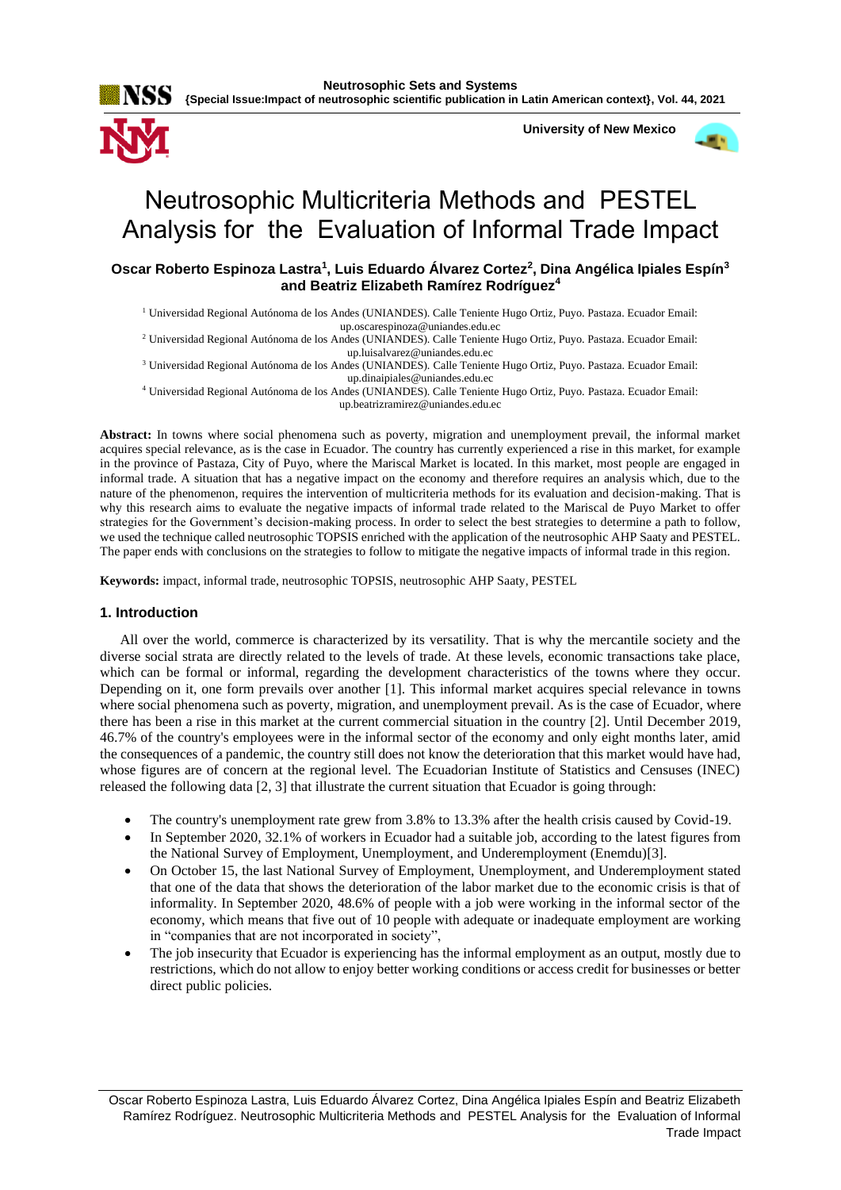

 **University of New Mexico**



# Neutrosophic Multicriteria Methods and PESTEL Analysis for the Evaluation of Informal Trade Impact

**Oscar Roberto Espinoza Lastra<sup>1</sup> , Luis Eduardo Álvarez Cortez<sup>2</sup> , Dina Angélica Ipiales Espín<sup>3</sup> and Beatriz Elizabeth Ramírez Rodríguez<sup>4</sup>**

<sup>1</sup> Universidad Regional Autónoma de los Andes (UNIANDES). Calle Teniente Hugo Ortiz, Puyo. Pastaza. Ecuador Email: [up.oscarespinoza@uniandes.edu.ec](mailto:up.oscarespinoza@uniandes.edu.ec)

<sup>2</sup> Universidad Regional Autónoma de los Andes (UNIANDES). Calle Teniente Hugo Ortiz, Puyo. Pastaza. Ecuador Email: [up.luisalvarez@uniandes.edu.ec](mailto:up.luisalvarez@uniandes.edu.ec)

<sup>3</sup> Universidad Regional Autónoma de los Andes (UNIANDES). Calle Teniente Hugo Ortiz, Puyo. Pastaza. Ecuador Email: [up.dinaipiales@uniandes.edu.ec](mailto:up.dinaipiales@uniandes.edu.ec)

<sup>4</sup> Universidad Regional Autónoma de los Andes (UNIANDES). Calle Teniente Hugo Ortiz, Puyo. Pastaza. Ecuador Email: [up.beatrizramirez@uniandes.edu.ec](mailto:up.beatrizramirez@uniandes.edu.ec)

**Abstract:** In towns where social phenomena such as poverty, migration and unemployment prevail, the informal market acquires special relevance, as is the case in Ecuador. The country has currently experienced a rise in this market, for example in the province of Pastaza, City of Puyo, where the Mariscal Market is located. In this market, most people are engaged in informal trade. A situation that has a negative impact on the economy and therefore requires an analysis which, due to the nature of the phenomenon, requires the intervention of multicriteria methods for its evaluation and decision-making. That is why this research aims to evaluate the negative impacts of informal trade related to the Mariscal de Puyo Market to offer strategies for the Government's decision-making process. In order to select the best strategies to determine a path to follow, we used the technique called neutrosophic TOPSIS enriched with the application of the neutrosophic AHP Saaty and PESTEL. The paper ends with conclusions on the strategies to follow to mitigate the negative impacts of informal trade in this region.

**Keywords:** impact, informal trade, neutrosophic TOPSIS, neutrosophic AHP Saaty, PESTEL

# **1. Introduction**

All over the world, commerce is characterized by its versatility. That is why the mercantile society and the diverse social strata are directly related to the levels of trade. At these levels, economic transactions take place, which can be formal or informal, regarding the development characteristics of the towns where they occur. Depending on it, one form prevails over another [\[1\]](#page-8-0). This informal market acquires special relevance in towns where social phenomena such as poverty, migration, and unemployment prevail. As is the case of Ecuador, where there has been a rise in this market at the current commercial situation in the country [\[2\]](#page-8-1). Until December 2019, 46.7% of the country's employees were in the informal sector of the economy and only eight months later, amid the consequences of a pandemic, the country still does not know the deterioration that this market would have had, whose figures are of concern at the regional level. The Ecuadorian Institute of Statistics and Censuses (INEC) released the following data [\[2,](#page-8-1) [3\]](#page-8-2) that illustrate the current situation that Ecuador is going through:

- The country's unemployment rate grew from 3.8% to 13.3% after the health crisis caused by Covid-19.
- In September 2020, 32.1% of workers in Ecuador had a suitable job, according to the latest figures from the National Survey of Employment, Unemployment, and Underemployment (Enemdu)[\[3\]](#page-8-2).
- On October 15, the last National Survey of Employment, Unemployment, and Underemployment stated that one of the data that shows the deterioration of the labor market due to the economic crisis is that of informality. In September 2020, 48.6% of people with a job were working in the informal sector of the economy, which means that five out of 10 people with adequate or inadequate employment are working in "companies that are not incorporated in society",
- The job insecurity that Ecuador is experiencing has the informal employment as an output, mostly due to restrictions, which do not allow to enjoy better working conditions or access credit for businesses or better direct public policies.

Oscar Roberto Espinoza Lastra, Luis Eduardo Álvarez Cortez, Dina Angélica Ipiales Espín and Beatriz Elizabeth Ramírez Rodríguez. Neutrosophic Multicriteria Methods and PESTEL Analysis for the Evaluation of Informal Trade Impact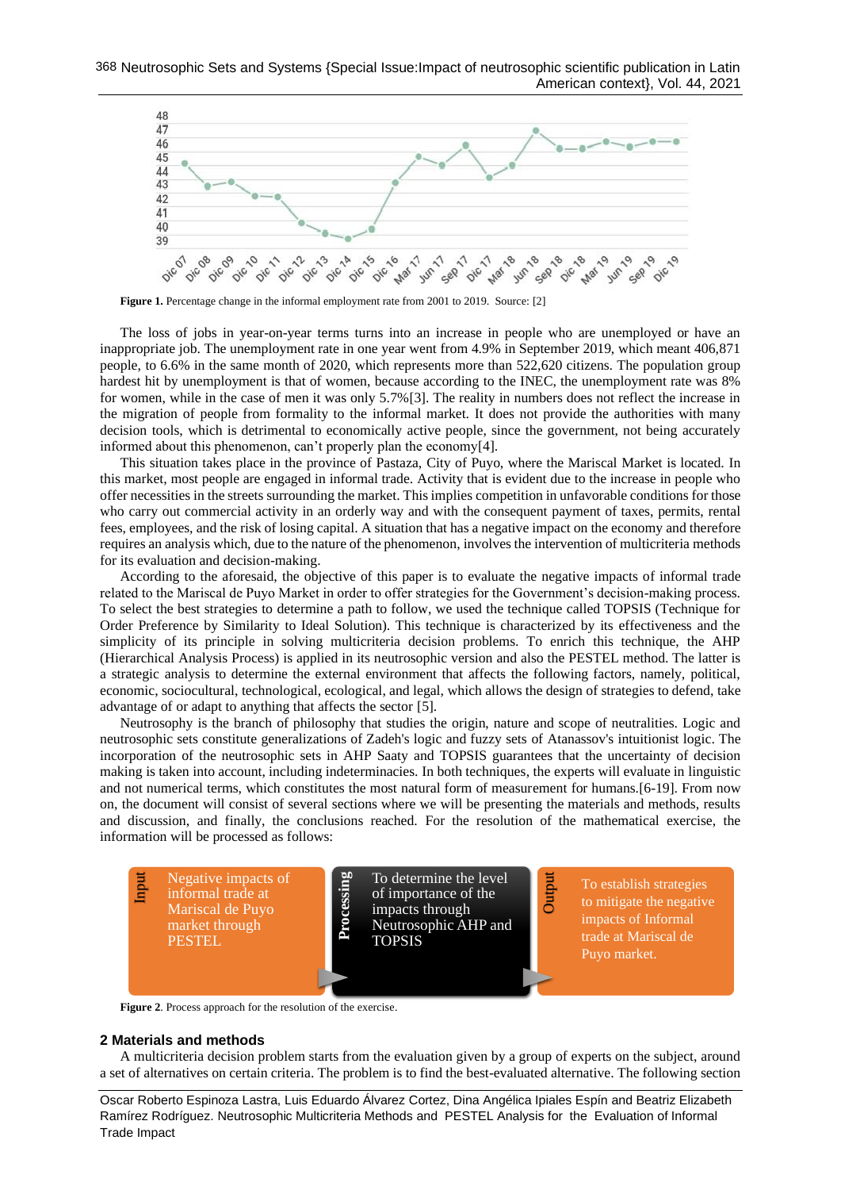

The loss of jobs in year-on-year terms turns into an increase in people who are unemployed or have an inappropriate job. The unemployment rate in one year went from 4.9% in September 2019, which meant 406,871 people, to 6.6% in the same month of 2020, which represents more than 522,620 citizens. The population group hardest hit by unemployment is that of women, because according to the INEC, the unemployment rate was 8% for women, while in the case of men it was only 5.7%[\[3\]](#page-8-2). The reality in numbers does not reflect the increase in the migration of people from formality to the informal market. It does not provide the authorities with many decision tools, which is detrimental to economically active people, since the government, not being accurately informed about this phenomenon, can't properly plan the economy[\[4\]](#page-8-3).

This situation takes place in the province of Pastaza, City of Puyo, where the Mariscal Market is located. In this market, most people are engaged in informal trade. Activity that is evident due to the increase in people who offer necessities in the streets surrounding the market. This implies competition in unfavorable conditions for those who carry out commercial activity in an orderly way and with the consequent payment of taxes, permits, rental fees, employees, and the risk of losing capital. A situation that has a negative impact on the economy and therefore requires an analysis which, due to the nature of the phenomenon, involves the intervention of multicriteria methods for its evaluation and decision-making.

According to the aforesaid, the objective of this paper is to evaluate the negative impacts of informal trade related to the Mariscal de Puyo Market in order to offer strategies for the Government's decision-making process. To select the best strategies to determine a path to follow, we used the technique called TOPSIS (Technique for Order Preference by Similarity to Ideal Solution). This technique is characterized by its effectiveness and the simplicity of its principle in solving multicriteria decision problems. To enrich this technique, the AHP (Hierarchical Analysis Process) is applied in its neutrosophic version and also the PESTEL method. The latter is a strategic analysis to determine the external environment that affects the following factors, namely, political, economic, sociocultural, technological, ecological, and legal, which allows the design of strategies to defend, take advantage of or adapt to anything that affects the sector [\[5\]](#page-8-4).

Neutrosophy is the branch of philosophy that studies the origin, nature and scope of neutralities. Logic and neutrosophic sets constitute generalizations of Zadeh's logic and fuzzy sets of Atanassov's intuitionist logic. The incorporation of the neutrosophic sets in AHP Saaty and TOPSIS guarantees that the uncertainty of decision making is taken into account, including indeterminacies. In both techniques, the experts will evaluate in linguistic and not numerical terms, which constitutes the most natural form of measurement for humans.[\[6-19\]](#page-8-5). From now on, the document will consist of several sections where we will be presenting the materials and methods, results and discussion, and finally, the conclusions reached. For the resolution of the mathematical exercise, the information will be processed as follows:



**Figure 2**. Process approach for the resolution of the exercise.

# **2 Materials and methods**

A multicriteria decision problem starts from the evaluation given by a group of experts on the subject, around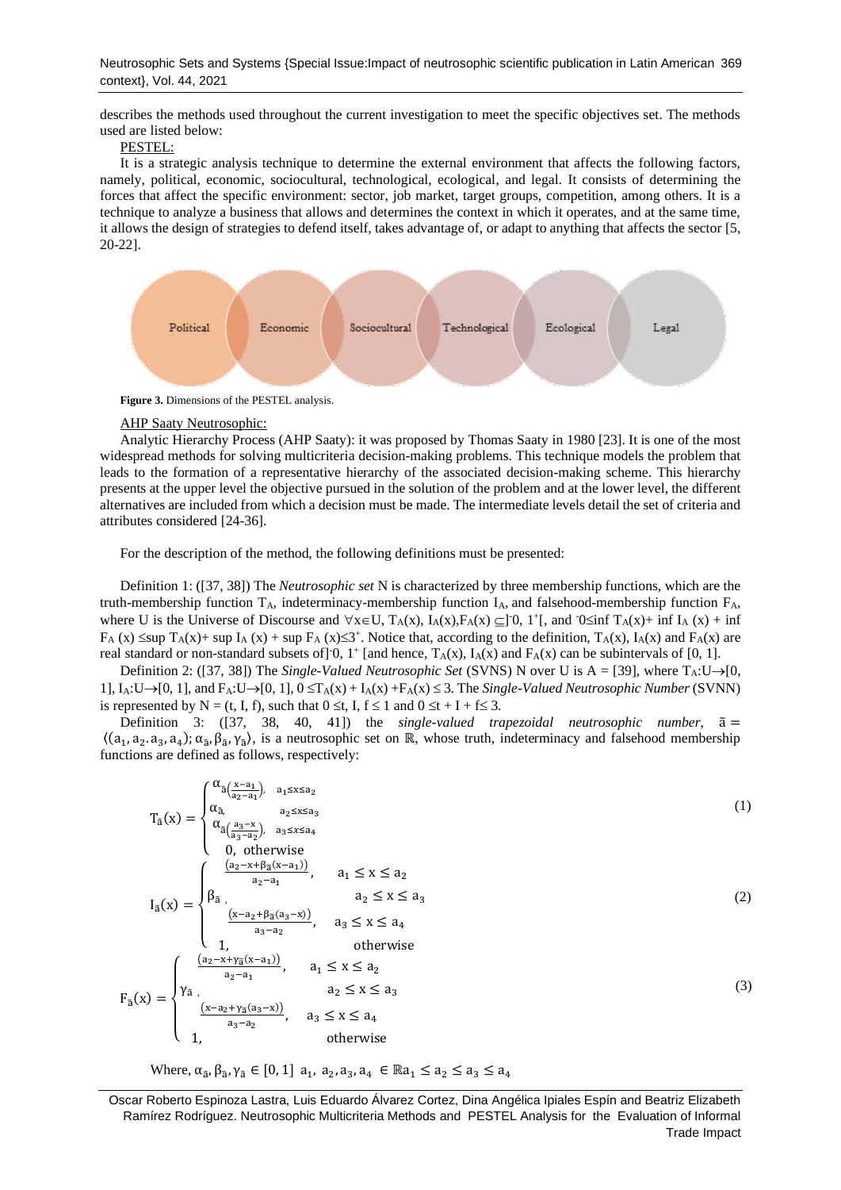describes the methods used throughout the current investigation to meet the specific objectives set. The methods used are listed below:

# PESTEL:

It is a strategic analysis technique to determine the external environment that affects the following factors, namely, political, economic, sociocultural, technological, ecological, and legal. It consists of determining the forces that affect the specific environment: sector, job market, target groups, competition, among others. It is a technique to analyze a business that allows and determines the context in which it operates, and at the same time, it allows the design of strategies to defend itself, takes advantage of, or adapt to anything that affects the sector [\[5,](#page-8-4) [20-22\]](#page-9-0).



**Figure 3.** Dimensions of the PESTEL analysis.

### AHP Saaty Neutrosophic:

Analytic Hierarchy Process (AHP Saaty): it was proposed by Thomas Saaty in 1980 [\[23\]](#page-9-1). It is one of the most widespread methods for solving multicriteria decision-making problems. This technique models the problem that leads to the formation of a representative hierarchy of the associated decision-making scheme. This hierarchy presents at the upper level the objective pursued in the solution of the problem and at the lower level, the different alternatives are included from which a decision must be made. The intermediate levels detail the set of criteria and attributes considered [\[24-36\]](#page-9-2).

For the description of the method, the following definitions must be presented:

Definition 1: ([\[37,](#page-9-3) [38\]](#page-9-4)) The *Neutrosophic set* N is characterized by three membership functions, which are the truth-membership function  $T_A$ , indeterminacy-membership function  $I_A$ , and falsehood-membership function  $F_A$ , where U is the Universe of Discourse and  $\forall x \in U$ ,  $T_A(x)$ ,  $I_A(x)$ ,  $F_A(x) \subseteq ]0, 1^+[$ , and  $0 \le inf T_A(x) + inf I_A(x) + inf$  $F_A(x) \leq \sup T_A(x) + \sup I_A(x) + \sup F_A(x) \leq 3^+$ . Notice that, according to the definition,  $T_A(x)$ ,  $I_A(x)$  and  $F_A(x)$  are real standard or non-standard subsets of  $]0, 1^+$  [and hence,  $T_A(x)$ ,  $I_A(x)$  and  $F_A(x)$  can be subintervals of [0, 1].

Definition 2: ([\[37,](#page-9-3) [38\]](#page-9-4)) The *Single-Valued Neutrosophic Set* (SVNS) N over U is A = [\[39\]](#page-9-5), where T<sub>A</sub>:U→[0, 1],  $I_A:U\rightarrow[0, 1]$ , and  $F_A:U\rightarrow[0, 1]$ ,  $0 \leq T_A(x) + I_A(x) + F_A(x) \leq 3$ . The *Single-Valued Neutrosophic Number* (SVNN) is represented by N = (t, I, f), such that  $0 \le t$ , I,  $f \le 1$  and  $0 \le t + I + f \le 3$ .

Definition 3: ([\[37,](#page-9-3) [38,](#page-9-4) [40,](#page-9-6) [41\]](#page-10-0)) the *single-valued trapezoidal neutrosophic number*, ã =  $\langle (a_1, a_2, a_3, a_4), \alpha_{\tilde{a}}, \beta_{\tilde{a}}, \gamma_{\tilde{a}} \rangle$ , is a neutrosophic set on ℝ, whose truth, indeterminacy and falsehood membership functions are defined as follows, respectively:

$$
T_{\tilde{a}}(x) = \begin{cases} \alpha_{\tilde{a}}(\frac{x-a_1}{a_2-a_1}), & a_1 \le x \le a_2 \\ \alpha_{\tilde{a}}(\frac{a_3-x}{a_3-a_2}), & a_2 \le x \le a_3 \\ \alpha_{\tilde{a}}(\frac{a_3-x}{a_3-a_2}), & a_3 \le x \le a_4 \\ 0, \text{ otherwise} \\ I_{\tilde{a}}(x) = \begin{cases} \frac{(a_2-x+\beta_{\tilde{a}}(x-a_1))}{a_2-a_1}, & a_1 \le x \le a_2 \\ \beta_{\tilde{a}}(\frac{x-a_2+\beta_{\tilde{a}}(a_3-x)}{a_2-a_2}), & a_3 \le x \le a_4 \\ 1, & \text{otherwise} \end{cases} \qquad (2)
$$
\n
$$
F_{\tilde{a}}(x) = \begin{cases} \frac{(a_2-x+\gamma_{\tilde{a}}(x-a_1))}{a_2-a_1}, & a_1 \le x \le a_2 \\ \gamma_{\tilde{a}}(\frac{x-a_2+\gamma_{\tilde{a}}(a_3-x)}{a_2-a_1}), & a_1 \le x \le a_2 \\ \gamma_{\tilde{a}}(\frac{x-a_2+\gamma_{\tilde{a}}(a_3-x)}{a_3-a_2}), & a_3 \le x \le a_4 \\ 1, & \text{otherwise} \end{cases} \qquad (3)
$$

Where,  $\alpha_{\tilde{a}}, \beta_{\tilde{a}}, \gamma_{\tilde{a}} \in [0, 1]$  a<sub>1</sub>, a<sub>2</sub>, a<sub>3</sub>, a<sub>4</sub>  $\in \mathbb{R}$ a<sub>1</sub>  $\leq a_2 \leq a_3 \leq a_4$ 

Oscar Roberto Espinoza Lastra, Luis Eduardo Álvarez Cortez, Dina Angélica Ipiales Espín and Beatriz Elizabeth Ramírez Rodríguez. Neutrosophic Multicriteria Methods and PESTEL Analysis for the Evaluation of Informal Trade Impact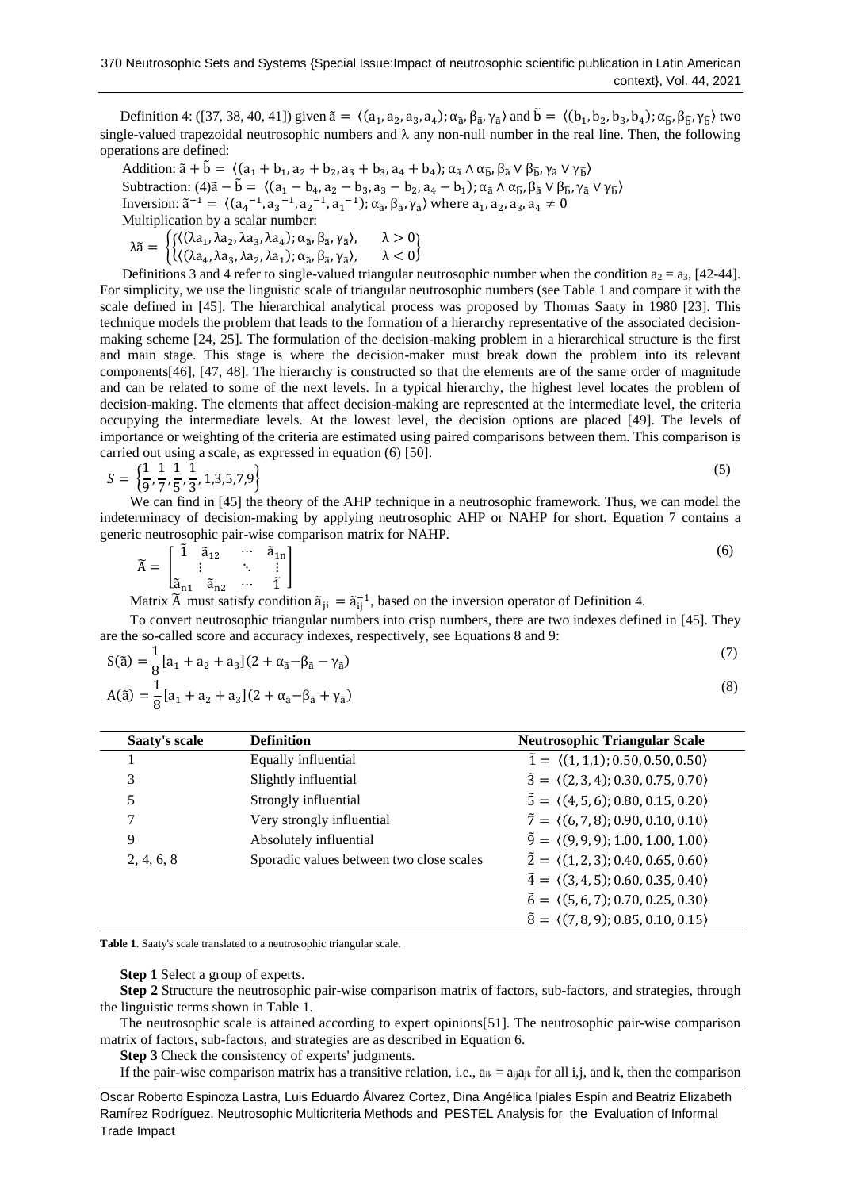Definition 4: ([\[37,](#page-9-3) [38,](#page-9-4) [40,](#page-9-6) [41\]](#page-10-0)) given  $\tilde{a} = \langle (a_1, a_2, a_3, a_4); \alpha_{\tilde{a}}, \beta_{\tilde{a}}, \gamma_{\tilde{a}} \rangle$  and  $\tilde{b} = \langle (b_1, b_2, b_3, b_4); \alpha_{\tilde{b}}, \beta_{\tilde{b}}, \gamma_{\tilde{b}} \rangle$  two single-valued trapezoidal neutrosophic numbers and  $\lambda$  any non-null number in the real line. Then, the following operations are defined:

Addition:  $\tilde{a} + \tilde{b} = \langle (a_1 + b_1, a_2 + b_2, a_3 + b_3, a_4 + b_4); \alpha_{\tilde{a}} \wedge \alpha_{\tilde{b}}, \beta_{\tilde{a}} \vee \beta_{\tilde{b}}, \gamma_{\tilde{a}} \vee \gamma_{\tilde{b}} \rangle$ Subtraction:  $(4)\tilde{a} - \tilde{b} = \langle (a_1 - b_4, a_2 - b_3, a_3 - b_2, a_4 - b_1) \rangle \alpha_{\tilde{a}} \wedge \alpha_{\tilde{b}}, \beta_{\tilde{a}} \vee \beta_{\tilde{b}}, \gamma_{\tilde{a}} \vee \gamma_{\tilde{b}} \rangle$ Inversion:  $\tilde{a}^{-1} = \langle (a_4^{-1}, a_3^{-1}, a_2^{-1}, a_1^{-1}); \alpha_{\tilde{a}}, \beta_{\tilde{a}}, \gamma_{\tilde{a}} \rangle$  where  $a_1, a_2, a_3, a_4 \neq 0$ Multiplication by a scalar number:

 $\lambda \tilde{a} = \begin{cases} \left\{ \left( (\lambda a_1, \lambda a_2, \lambda a_3, \lambda a_4); \alpha_{\tilde{a}}, \beta_{\tilde{a}}, \gamma_{\tilde{a}} \right), & \lambda > 0 \\ \left( \lambda a_1, \lambda a_2, \lambda a_3, \lambda a_4 \right); \alpha_{\tilde{a}}, \beta_{\tilde{a}}, \gamma_{\tilde{a}} \right), & \lambda > 0 \end{cases}$  $\langle (\lambda a_4, \lambda a_3, \lambda a_2, \lambda a_1); \alpha_{\tilde{a}}, \beta_{\tilde{a}}, \gamma_{\tilde{a}} \rangle, \quad \lambda < 0$ 

Definitions 3 and 4 refer to single-valued triangular neutrosophic number when the condition  $a_2 = a_3$ , [\[42-44\]](#page-10-1). For simplicity, we use the linguistic scale of triangular neutrosophic numbers (see Table 1 and compare it with the scale defined in [\[45\]](#page-10-2). The hierarchical analytical process was proposed by Thomas Saaty in 1980 [\[23\]](#page-9-1). This technique models the problem that leads to the formation of a hierarchy representative of the associated decisionmaking scheme [\[24,](#page-9-2) [25\]](#page-9-7). The formulation of the decision-making problem in a hierarchical structure is the first and main stage. This stage is where the decision-maker must break down the problem into its relevant components[\[46\]](#page-10-3), [\[47,](#page-10-4) [48\]](#page-10-5). The hierarchy is constructed so that the elements are of the same order of magnitude and can be related to some of the next levels. In a typical hierarchy, the highest level locates the problem of decision-making. The elements that affect decision-making are represented at the intermediate level, the criteria occupying the intermediate levels. At the lowest level, the decision options are placed [\[49\]](#page-10-6). The levels of importance or weighting of the criteria are estimated using paired comparisons between them. This comparison is carried out using a scale, as expressed in equation (6) [\[50\]](#page-10-7).

$$
S = \left\{ \frac{1}{9}, \frac{1}{7}, \frac{1}{5}, \frac{1}{3}, 1, 3, 5, 7, 9 \right\}
$$
(5)

We can find in [\[45\]](#page-10-2) the theory of the AHP technique in a neutrosophic framework. Thus, we can model the indeterminacy of decision-making by applying neutrosophic AHP or NAHP for short. Equation 7 contains a generic neutrosophic pair-wise comparison matrix for NAHP.

$$
\widetilde{A} = \begin{bmatrix} \widetilde{1} & \widetilde{a}_{12} & \cdots & \widetilde{a}_{1n} \\ \vdots & \ddots & \vdots \\ \widetilde{a}_{n1} & \widetilde{a}_{n2} & \cdots & \widetilde{1} \end{bmatrix}
$$
\n(6)

Matrix  $\tilde{A}$  must satisfy condition  $\tilde{a}_{ji} = \tilde{a}_{ij}^{-1}$ , based on the inversion operator of Definition 4.

To convert neutrosophic triangular numbers into crisp numbers, there are two indexes defined in [\[45\]](#page-10-2). They are the so-called score and accuracy indexes, respectively, see Equations 8 and 9:

$$
S(\tilde{a}) = \frac{1}{8} [a_1 + a_2 + a_3] (2 + \alpha_{\tilde{a}} - \beta_{\tilde{a}} - \gamma_{\tilde{a}})
$$
\n(7)

$$
A(\tilde{a}) = \frac{1}{8} [a_1 + a_2 + a_3] (2 + \alpha_{\tilde{a}} - \beta_{\tilde{a}} + \gamma_{\tilde{a}})
$$
\n(8)

| Saaty's scale | <b>Definition</b>                        | <b>Neutrosophic Triangular Scale</b>                      |
|---------------|------------------------------------------|-----------------------------------------------------------|
|               | Equally influential                      | $\tilde{1} = \langle (1,1,1); 0.50, 0.50, 0.50 \rangle$   |
| 3             | Slightly influential                     | $\tilde{3} = \langle (2,3,4); 0.30, 0.75, 0.70 \rangle$   |
| 5             | Strongly influential                     | $\tilde{5} = \langle (4, 5, 6); 0.80, 0.15, 0.20 \rangle$ |
|               | Very strongly influential                | $\tilde{7} = \langle (6, 7, 8); 0.90, 0.10, 0.10 \rangle$ |
| 9             | Absolutely influential                   | $\tilde{9} = \langle (9, 9, 9); 1.00, 1.00, 1.00 \rangle$ |
| 2, 4, 6, 8    | Sporadic values between two close scales | $\tilde{2} = \langle (1,2,3); 0.40, 0.65, 0.60 \rangle$   |
|               |                                          | $\tilde{4} = \langle (3, 4, 5); 0.60, 0.35, 0.40 \rangle$ |
|               |                                          | $\tilde{6} = \langle (5,6,7); 0.70, 0.25, 0.30 \rangle$   |
|               |                                          | $\tilde{8} = \langle (7,8,9); 0.85, 0.10, 0.15 \rangle$   |

**Table 1**. Saaty's scale translated to a neutrosophic triangular scale.

## **Step 1** Select a group of experts.

**Step 2** Structure the neutrosophic pair-wise comparison matrix of factors, sub-factors, and strategies, through the linguistic terms shown in Table 1.

The neutrosophic scale is attained according to expert opinions[\[51\]](#page-10-8). The neutrosophic pair-wise comparison matrix of factors, sub-factors, and strategies are as described in Equation 6.

**Step 3** Check the consistency of experts' judgments.

If the pair-wise comparison matrix has a transitive relation, i.e.,  $a_{ik} = a_{ij}a_{jk}$  for all i,j, and k, then the comparison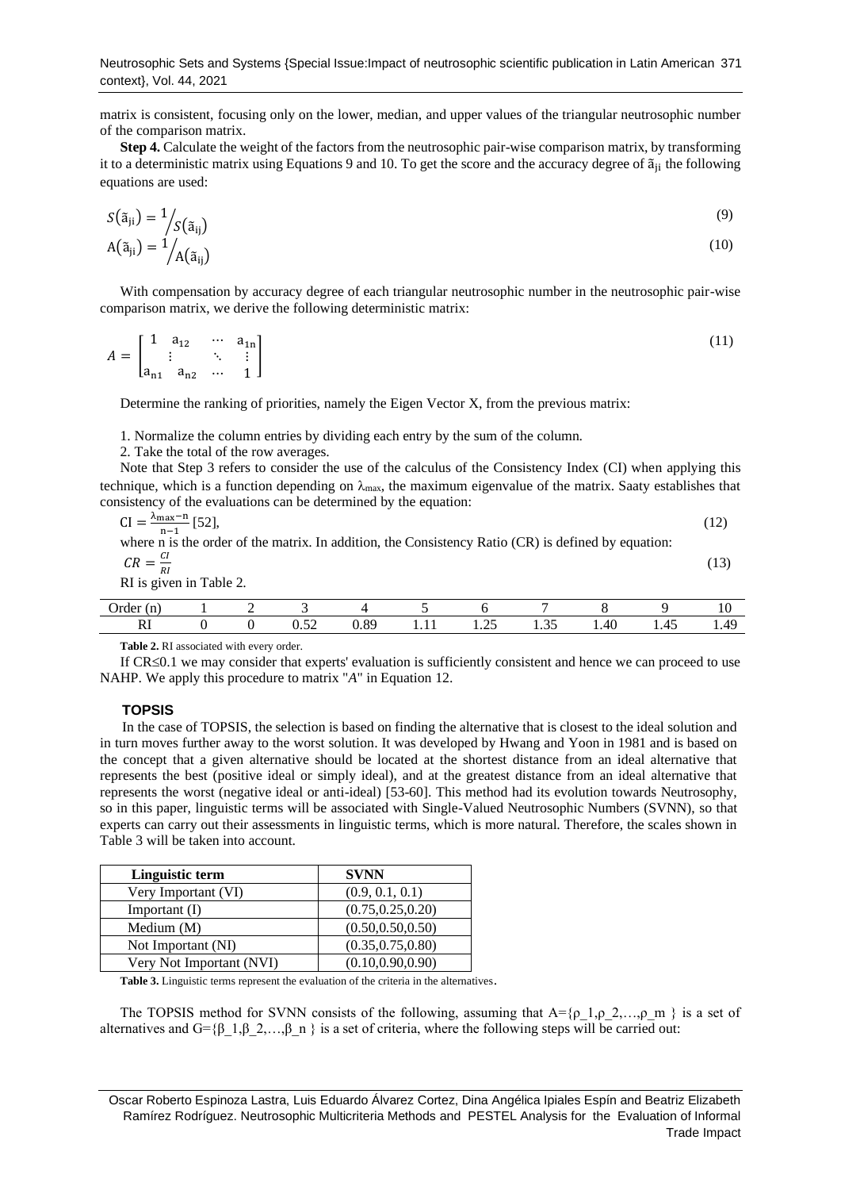matrix is consistent, focusing only on the lower, median, and upper values of the triangular neutrosophic number of the comparison matrix.

**Step 4.** Calculate the weight of the factors from the neutrosophic pair-wise comparison matrix, by transforming it to a deterministic matrix using Equations 9 and 10. To get the score and the accuracy degree of  $\tilde{a}_{ii}$  the following equations are used:

$$
S(\tilde{a}_{ji}) = \frac{1}{S(\tilde{a}_{ij})}
$$
  
\n
$$
A(\tilde{a}_{ji}) = \frac{1}{A(\tilde{a}_{ij})}
$$
\n(9)

With compensation by accuracy degree of each triangular neutrosophic number in the neutrosophic pair-wise comparison matrix, we derive the following deterministic matrix:

$$
A = \begin{bmatrix} 1 & a_{12} & \cdots & a_{1n} \\ \vdots & \ddots & \vdots \\ a_{n1} & a_{n2} & \cdots & 1 \end{bmatrix}
$$
 (11)

Determine the ranking of priorities, namely the Eigen Vector X, from the previous matrix:

1. Normalize the column entries by dividing each entry by the sum of the column.

2. Take the total of the row averages.

Note that Step 3 refers to consider the use of the calculus of the Consistency Index (CI) when applying this technique, which is a function depending on  $\lambda_{\text{max}}$ , the maximum eigenvalue of the matrix. Saaty establishes that consistency of the evaluations can be determined by the equation:

| $CI = \frac{\lambda_{\text{max}} - n}{n - 1}$ [52],<br>where n is the order of the matrix. In addition, the Consistency Ratio (CR) is defined by equation: |  |  |  |  |  |  |  |  |  | H 2 |
|------------------------------------------------------------------------------------------------------------------------------------------------------------|--|--|--|--|--|--|--|--|--|-----|
| $CR = \frac{CI}{I}$<br>RI is given in Table 2.                                                                                                             |  |  |  |  |  |  |  |  |  |     |
| Order (n)                                                                                                                                                  |  |  |  |  |  |  |  |  |  |     |

RI 0 0 0.52 0.89 1.11 1.25 1.35 1.40 1.45 1.49

**Table 2.** RI associated with every order.

If  $CR \leq 0.1$  we may consider that experts' evaluation is sufficiently consistent and hence we can proceed to use NAHP. We apply this procedure to matrix "*A*" in Equation 12.

## **TOPSIS**

In the case of TOPSIS, the selection is based on finding the alternative that is closest to the ideal solution and in turn moves further away to the worst solution. It was developed by Hwang and Yoon in 1981 and is based on the concept that a given alternative should be located at the shortest distance from an ideal alternative that represents the best (positive ideal or simply ideal), and at the greatest distance from an ideal alternative that represents the worst (negative ideal or anti-ideal) [\[53-60\]](#page-10-10). This method had its evolution towards Neutrosophy, so in this paper, linguistic terms will be associated with Single-Valued Neutrosophic Numbers (SVNN), so that experts can carry out their assessments in linguistic terms, which is more natural. Therefore, the scales shown in Table 3 will be taken into account.

| Linguistic term          | <b>SVNN</b>        |
|--------------------------|--------------------|
| Very Important (VI)      | (0.9, 0.1, 0.1)    |
| Important $(I)$          | (0.75, 0.25, 0.20) |
| Medium $(M)$             | (0.50, 0.50, 0.50) |
| Not Important (NI)       | (0.35, 0.75, 0.80) |
| Very Not Important (NVI) | (0.10, 0.90, 0.90) |

**Table 3.** Linguistic terms represent the evaluation of the criteria in the alternatives.

The TOPSIS method for SVNN consists of the following, assuming that  $A = \{p_1, p_2, \ldots, p_m\}$  is a set of alternatives and G={β\_1,β\_2,…,β\_n } is a set of criteria, where the following steps will be carried out:

Oscar Roberto Espinoza Lastra, Luis Eduardo Álvarez Cortez, Dina Angélica Ipiales Espín and Beatriz Elizabeth Ramírez Rodríguez. Neutrosophic Multicriteria Methods and PESTEL Analysis for the Evaluation of Informal Trade Impact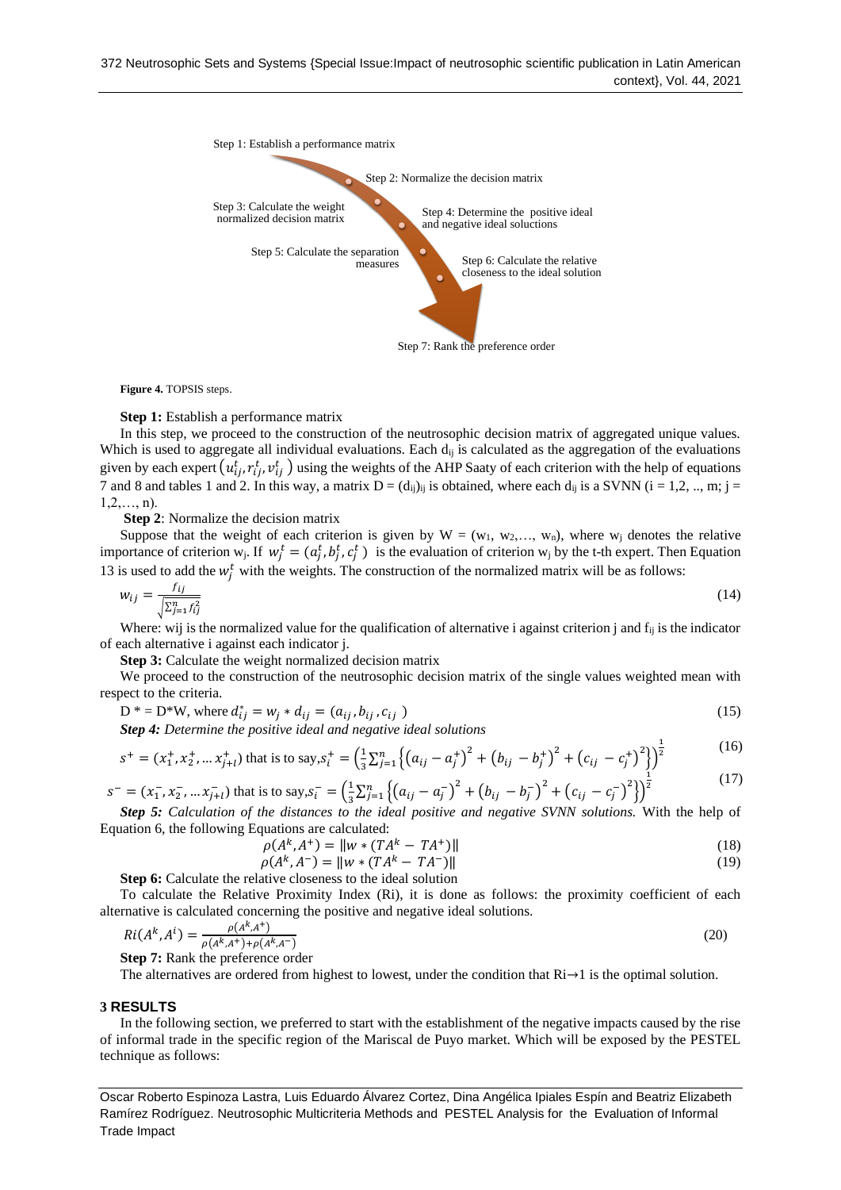

**Figure 4.** TOPSIS steps.

### **Step 1:** Establish a performance matrix

In this step, we proceed to the construction of the neutrosophic decision matrix of aggregated unique values. Which is used to aggregate all individual evaluations. Each  $d_{ij}$  is calculated as the aggregation of the evaluations given by each expert  $(u_{ij}^t, r_{ij}^t, v_{ij}^t)$  using the weights of the AHP Saaty of each criterion with the help of equations 7 and 8 and tables 1 and 2. In this way, a matrix  $D = (d_{ij})_{ij}$  is obtained, where each  $d_{ij}$  is a SVNN (i = 1,2, .., m; j =  $1,2,..., n$ ).

**Step 2**: Normalize the decision matrix

Suppose that the weight of each criterion is given by  $W = (w_1, w_2, ..., w_n)$ , where w<sub>i</sub> denotes the relative importance of criterion w<sub>j</sub>. If  $w_j^t = (a_j^t, b_j^t, c_j^t)$  is the evaluation of criterion w<sub>j</sub> by the t-th expert. Then Equation 13 is used to add the  $w_j^t$  with the weights. The construction of the normalized matrix will be as follows:

$$
w_{ij} = \frac{f_{ij}}{\sqrt{\sum_{j=1}^{n} f_{ij}^2}}\tag{14}
$$

Where: wij is the normalized value for the qualification of alternative i against criterion j and  $f_{ii}$  is the indicator of each alternative i against each indicator j.

**Step 3:** Calculate the weight normalized decision matrix

We proceed to the construction of the neutrosophic decision matrix of the single values weighted mean with respect to the criteria.

$$
D^* = D^*W, \text{ where } d_{ij}^* = w_j * d_{ij} = (a_{ij}, b_{ij}, c_{ij})
$$
\n(15)

*Step 4: Determine the positive ideal and negative ideal solutions*

$$
s^{+} = (x_{1}^{+}, x_{2}^{+}, \dots x_{j+l}^{+}) \text{ that is to say, } s_{i}^{+} = \left(\frac{1}{3} \sum_{j=1}^{n} \left\{ \left(a_{ij} - a_{j}^{+}\right)^{2} + \left(b_{ij} - b_{j}^{+}\right)^{2} + \left(c_{ij} - c_{j}^{+}\right)^{2}\right\} \right)^{\frac{1}{2}}
$$
(16)

$$
s^{-} = (x_1^{-}, x_2^{-}, \dots x_{j+l}^{-}) \text{ that is to say, } s_i^{-} = \left(\frac{1}{3} \sum_{j=1}^n \left\{ (a_{ij} - a_j^{-})^2 + (b_{ij} - b_j^{-})^2 + (c_{ij} - c_j^{-})^2 \right\} \right)^{\frac{1}{2}}
$$
(17)

*Step 5: Calculation of the distances to the ideal positive and negative SVNN solutions.* **With the help of** Equation 6, the following Equations are calculated:

$$
\rho(A^k, A^+) = \|w * (TA^k - TA^+)\|
$$
\n(18)

$$
\rho(A^k, A^-) = \|w * (TA^k - TA^-)\|
$$
\n(19)

**Step 6:** Calculate the relative closeness to the ideal solution

To calculate the Relative Proximity Index (Ri), it is done as follows: the proximity coefficient of each alternative is calculated concerning the positive and negative ideal solutions.

$$
Ri(A^k, A^i) = \frac{\rho(A^k, A^+)}{\rho(A^k, A^+) + \rho(A^k, A^-)}
$$
(20)

**Step 7:** Rank the preference order

The alternatives are ordered from highest to lowest, under the condition that  $\mathrm{Ri}\rightarrow 1$  is the optimal solution.

#### **3 RESULTS**

In the following section, we preferred to start with the establishment of the negative impacts caused by the rise of informal trade in the specific region of the Mariscal de Puyo market. Which will be exposed by the PESTEL technique as follows: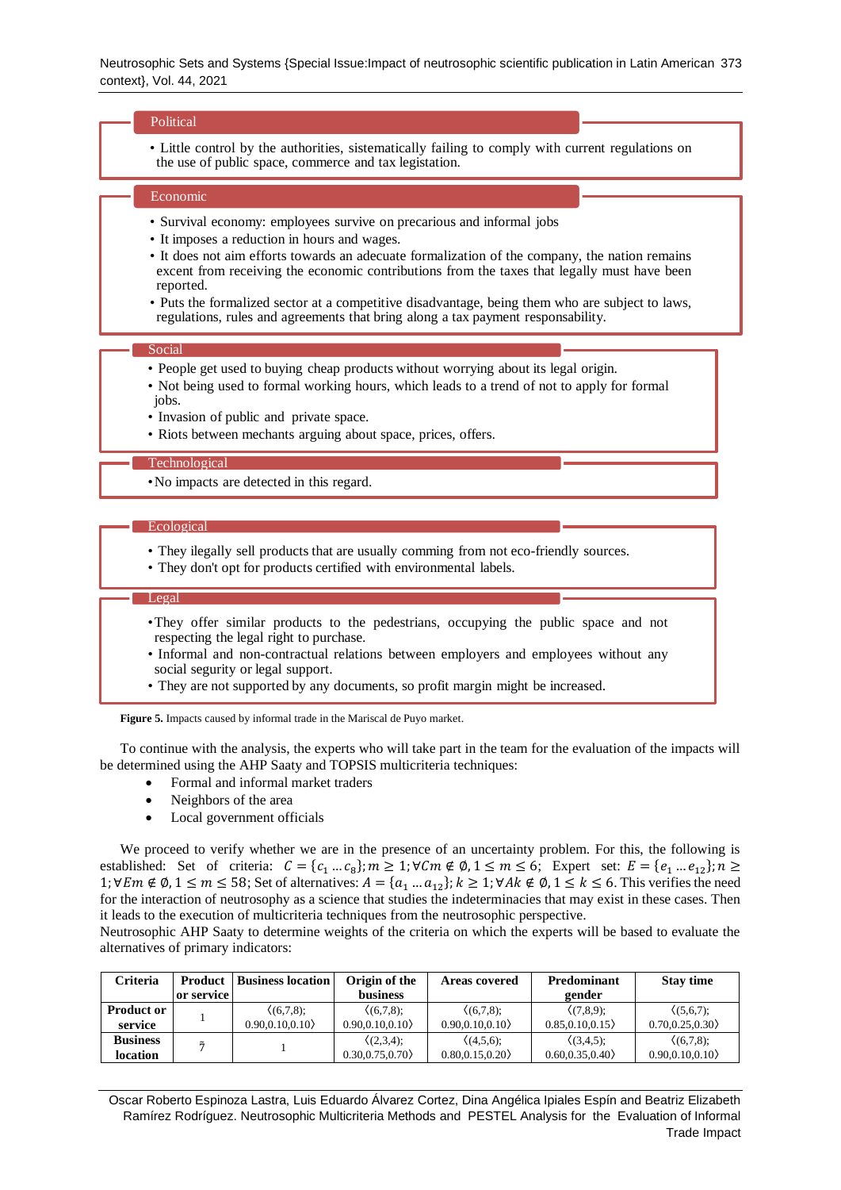## Political

• Little control by the authorities, sistematically failing to comply with current regulations on the use of public space, commerce and tax legistation.

## Economic

- Survival economy: employees survive on precarious and informal jobs
- It imposes a reduction in hours and wages.
- It does not aim efforts towards an adecuate formalization of the company, the nation remains excent from receiving the economic contributions from the taxes that legally must have been reported.
- Puts the formalized sector at a competitive disadvantage, being them who are subject to laws, regulations, rules and agreements that bring along a tax payment responsability.

#### Social

- People get used to buying cheap products without worrying about its legal origin.
- Not being used to formal working hours, which leads to a trend of not to apply for formal jobs.
- Invasion of public and private space.
- Riots between mechants arguing about space, prices, offers.

#### Technological

•No impacts are detected in this regard.

## **Ecological**

- They ilegally sell products that are usually comming from not eco-friendly sources.
- They don't opt for products certified with environmental labels.

#### Legal

- •They offer similar products to the pedestrians, occupying the public space and not respecting the legal right to purchase.
- Informal and non-contractual relations between employers and employees without any social segurity or legal support.
- They are not supported by any documents, so profit margin might be increased.

**Figure 5.** Impacts caused by informal trade in the Mariscal de Puyo market.

To continue with the analysis, the experts who will take part in the team for the evaluation of the impacts will be determined using the AHP Saaty and TOPSIS multicriteria techniques:

- Formal and informal market traders
- Neighbors of the area
- Local government officials

We proceed to verify whether we are in the presence of an uncertainty problem. For this, the following is established: Set of criteria:  $C = \{c_1 ... c_8\}$ ;  $m \ge 1$ ;  $\forall C m \notin \emptyset$ ,  $1 \le m \le 6$ ; Expert set:  $E = \{e_1 ... e_{12}\}$ ;  $n \ge 0$ 1;  $\forall E m \notin \emptyset$ ,  $1 \le m \le 58$ ; Set of alternatives:  $A = \{a_1 ... a_{12}\}$ ;  $k \ge 1$ ;  $\forall Ak \notin \emptyset$ ,  $1 \le k \le 6$ . This verifies the need for the interaction of neutrosophy as a science that studies the indeterminacies that may exist in these cases. Then it leads to the execution of multicriteria techniques from the neutrosophic perspective.

Neutrosophic AHP Saaty to determine weights of the criteria on which the experts will be based to evaluate the alternatives of primary indicators:

| Criteria                     | Product<br>or service | <b>Business location</b>          | Origin of the<br><b>business</b>  | <b>Areas covered</b>          | Predominant<br>gender             | <b>Stay time</b>                  |
|------------------------------|-----------------------|-----------------------------------|-----------------------------------|-------------------------------|-----------------------------------|-----------------------------------|
| <b>Product or</b><br>service |                       | $(6.7.8)$ ;<br>$0.90.0.10.0.10\}$ | $(6.7.8)$ :<br>$0.90.0.10.0.10\}$ | (6.7.8)<br>$0.90.0.10.0.10\}$ | $(7,8.9)$ :<br>$0.85.0.10.0.15\}$ | $(5,6,7)$ ;<br>0.70.0.25.0.30     |
| <b>Business</b><br>location  |                       |                                   | $(2,3,4)$ :<br>0.30.0.75.0.70     | $(4,5,6)$ ;<br>0.80.0.15.0.20 | $(3,4,5)$ :<br>0.60.0.35.0.40     | $(6,7,8)$ ;<br>$0.90.0.10.0.10\}$ |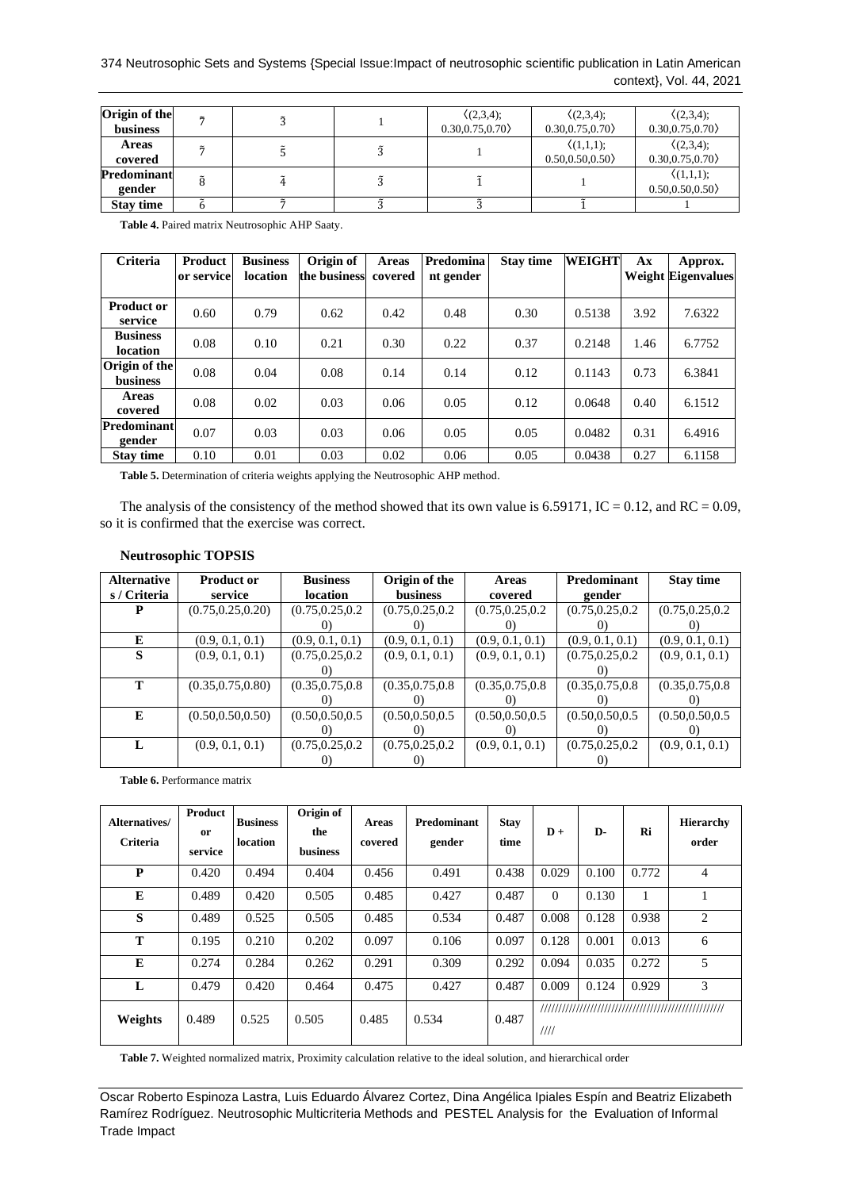# 374 Neutrosophic Sets and Systems {Special Issue:Impact of neutrosophic scientific publication in Latin American context}, Vol. 44, 2021

| Origin of the<br><b>business</b> | $\tilde{ }$ |  | (2,3,4);<br>0.30, 0.75, 0.70 | (2,3,4);<br>0.30, 0.75, 0.70           | (2,3,4);<br>0.30, 0.75, 0.70           |
|----------------------------------|-------------|--|------------------------------|----------------------------------------|----------------------------------------|
| <b>Areas</b><br>covered          |             |  |                              | $\langle (1,1,1);$<br>0.50, 0.50, 0.50 | (2,3,4);<br>0.30, 0.75, 0.70           |
| Predominant<br>gender            | ã           |  |                              |                                        | $\langle (1,1,1);$<br>0.50, 0.50, 0.50 |
| <b>Stay time</b>                 |             |  |                              |                                        |                                        |

**Table 4.** Paired matrix Neutrosophic AHP Saaty.

| <b>Criteria</b>                    | Product<br>or service | <b>Business</b><br>location | Origin of<br>the business | <b>Areas</b><br>covered | Predomina<br>nt gender | <b>Stay time</b> | <b>WEIGHT</b> | Ax   | Approx.<br><b>Weight Eigenvalues</b> |
|------------------------------------|-----------------------|-----------------------------|---------------------------|-------------------------|------------------------|------------------|---------------|------|--------------------------------------|
| <b>Product or</b><br>service       | 0.60                  | 0.79                        | 0.62                      | 0.42                    | 0.48                   | 0.30             | 0.5138        | 3.92 | 7.6322                               |
| <b>Business</b><br><b>location</b> | 0.08                  | 0.10                        | 0.21                      | 0.30                    | 0.22                   | 0.37             | 0.2148        | 1.46 | 6.7752                               |
| Origin of the<br><b>business</b>   | 0.08                  | 0.04                        | 0.08                      | 0.14                    | 0.14                   | 0.12             | 0.1143        | 0.73 | 6.3841                               |
| <b>Areas</b><br>covered            | 0.08                  | 0.02                        | 0.03                      | 0.06                    | 0.05                   | 0.12             | 0.0648        | 0.40 | 6.1512                               |
| Predominant<br>gender              | 0.07                  | 0.03                        | 0.03                      | 0.06                    | 0.05                   | 0.05             | 0.0482        | 0.31 | 6.4916                               |
| <b>Stav time</b>                   | 0.10                  | 0.01                        | 0.03                      | 0.02                    | 0.06                   | 0.05             | 0.0438        | 0.27 | 6.1158                               |

**Table 5.** Determination of criteria weights applying the Neutrosophic AHP method.

The analysis of the consistency of the method showed that its own value is 6.59171, IC = 0.12, and RC = 0.09, so it is confirmed that the exercise was correct.

| <b>Alternative</b> | <b>Product or</b>  | <b>Business</b>   | Origin of the     | <b>Areas</b>      | Predominant       | <b>Stay time</b>  |
|--------------------|--------------------|-------------------|-------------------|-------------------|-------------------|-------------------|
| s / Criteria       | service            | location          | business          | covered           | gender            |                   |
| P                  | (0.75, 0.25, 0.20) | (0.75, 0.25, 0.2) | (0.75, 0.25, 0.2) | (0.75, 0.25, 0.2) | (0.75, 0.25, 0.2) | (0.75, 0.25, 0.2) |
|                    |                    | ()                | O.                |                   | ()                | $\cup$            |
| E                  | (0.9, 0.1, 0.1)    | (0.9, 0.1, 0.1)   | (0.9, 0.1, 0.1)   | (0.9, 0.1, 0.1)   | (0.9, 0.1, 0.1)   | (0.9, 0.1, 0.1)   |
| S                  | (0.9, 0.1, 0.1)    | (0.75, 0.25, 0.2) | (0.9, 0.1, 0.1)   | (0.9, 0.1, 0.1)   | (0.75, 0.25, 0.2) | (0.9, 0.1, 0.1)   |
|                    |                    |                   |                   |                   |                   |                   |
| т                  | (0.35, 0.75, 0.80) | (0.35, 0.75, 0.8) | (0.35, 0.75, 0.8) | (0.35, 0.75, 0.8) | (0.35, 0.75, 0.8) | (0.35, 0.75, 0.8) |
|                    |                    | $\Omega$          |                   |                   |                   |                   |
| E                  | (0.50, 0.50, 0.50) | (0.50, 0.50, 0.5) | (0.50, 0.50, 0.5) | (0.50, 0.50, 0.5) | (0.50, 0.50, 0.5) | (0.50, 0.50, 0.5) |
|                    |                    |                   | O.                |                   |                   | $\cup$            |
| L                  | (0.9, 0.1, 0.1)    | (0.75, 0.25, 0.2) | (0.75, 0.25, 0.2) | (0.9, 0.1, 0.1)   | (0.75, 0.25, 0.2) | (0.9, 0.1, 0.1)   |
|                    |                    |                   |                   |                   |                   |                   |

# **Neutrosophic TOPSIS**

**Table 6.** Performance matrix

| Alternatives/<br><b>Criteria</b> | Product<br><sub>or</sub><br>service | <b>Business</b><br>location | Origin of<br>the<br><b>business</b> | <b>Areas</b><br>covered | <b>Predominant</b><br>gender | <b>Stay</b><br>time | $D +$    | D-    | Ri    | <b>Hierarchy</b><br>order |
|----------------------------------|-------------------------------------|-----------------------------|-------------------------------------|-------------------------|------------------------------|---------------------|----------|-------|-------|---------------------------|
| P                                | 0.420                               | 0.494                       | 0.404                               | 0.456                   | 0.491                        | 0.438               | 0.029    | 0.100 | 0.772 | 4                         |
| E                                | 0.489                               | 0.420                       | 0.505                               | 0.485                   | 0.427                        | 0.487               | $\Omega$ | 0.130 |       |                           |
| S                                | 0.489                               | 0.525                       | 0.505                               | 0.485                   | 0.534                        | 0.487               | 0.008    | 0.128 | 0.938 | 2                         |
| T                                | 0.195                               | 0.210                       | 0.202                               | 0.097                   | 0.106                        | 0.097               | 0.128    | 0.001 | 0.013 | 6                         |
| E                                | 0.274                               | 0.284                       | 0.262                               | 0.291                   | 0.309                        | 0.292               | 0.094    | 0.035 | 0.272 | 5                         |
| L                                | 0.479                               | 0.420                       | 0.464                               | 0.475                   | 0.427                        | 0.487               | 0.009    | 0.124 | 0.929 | 3                         |
| Weights                          | 0.489                               | 0.525                       | 0.505                               | 0.485                   | 0.534                        | 0.487               | 1111     |       |       |                           |

**Table 7.** Weighted normalized matrix, Proximity calculation relative to the ideal solution, and hierarchical order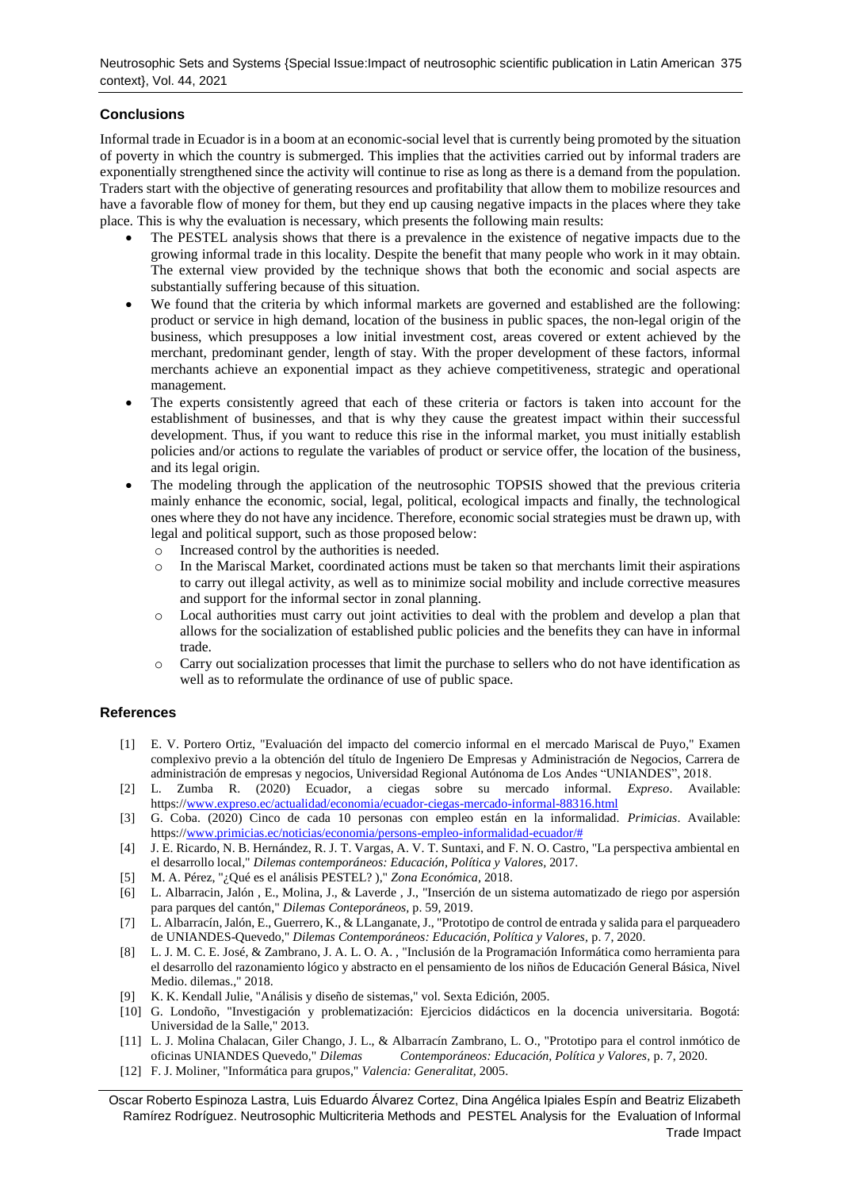# **Conclusions**

Informal trade in Ecuador is in a boom at an economic-social level that is currently being promoted by the situation of poverty in which the country is submerged. This implies that the activities carried out by informal traders are exponentially strengthened since the activity will continue to rise as long as there is a demand from the population. Traders start with the objective of generating resources and profitability that allow them to mobilize resources and have a favorable flow of money for them, but they end up causing negative impacts in the places where they take place. This is why the evaluation is necessary, which presents the following main results:

- The PESTEL analysis shows that there is a prevalence in the existence of negative impacts due to the growing informal trade in this locality. Despite the benefit that many people who work in it may obtain. The external view provided by the technique shows that both the economic and social aspects are substantially suffering because of this situation.
- We found that the criteria by which informal markets are governed and established are the following: product or service in high demand, location of the business in public spaces, the non-legal origin of the business, which presupposes a low initial investment cost, areas covered or extent achieved by the merchant, predominant gender, length of stay. With the proper development of these factors, informal merchants achieve an exponential impact as they achieve competitiveness, strategic and operational management.
- The experts consistently agreed that each of these criteria or factors is taken into account for the establishment of businesses, and that is why they cause the greatest impact within their successful development. Thus, if you want to reduce this rise in the informal market, you must initially establish policies and/or actions to regulate the variables of product or service offer, the location of the business, and its legal origin.
- The modeling through the application of the neutrosophic TOPSIS showed that the previous criteria mainly enhance the economic, social, legal, political, ecological impacts and finally, the technological ones where they do not have any incidence. Therefore, economic social strategies must be drawn up, with legal and political support, such as those proposed below:
	- o Increased control by the authorities is needed.
	- o In the Mariscal Market, coordinated actions must be taken so that merchants limit their aspirations to carry out illegal activity, as well as to minimize social mobility and include corrective measures and support for the informal sector in zonal planning.
	- o Local authorities must carry out joint activities to deal with the problem and develop a plan that allows for the socialization of established public policies and the benefits they can have in informal trade.
	- o Carry out socialization processes that limit the purchase to sellers who do not have identification as well as to reformulate the ordinance of use of public space.

# **References**

- <span id="page-8-0"></span>[1] E. V. Portero Ortiz, "Evaluación del impacto del comercio informal en el mercado Mariscal de Puyo," Examen complexivo previo a la obtención del título de Ingeniero De Empresas y Administración de Negocios, Carrera de administración de empresas y negocios, Universidad Regional Autónoma de Los Andes "UNIANDES", 2018.
- <span id="page-8-1"></span>[2] L. Zumba R. (2020) Ecuador, a ciegas sobre su mercado informal. *Expreso*. Available: https:/[/www.expreso.ec/actualidad/economia/ecuador-ciegas-mercado-informal-88316.html](http://www.expreso.ec/actualidad/economia/ecuador-ciegas-mercado-informal-88316.html)
- <span id="page-8-2"></span>[3] G. Coba. (2020) Cinco de cada 10 personas con empleo están en la informalidad. *Primicias*. Available: https:/[/www.primicias.ec/noticias/economia/persons-empleo-informalidad-ecuador/#](http://www.primicias.ec/noticias/economia/persons-empleo-informalidad-ecuador/)
- <span id="page-8-3"></span>[4] J. E. Ricardo, N. B. Hernández, R. J. T. Vargas, A. V. T. Suntaxi, and F. N. O. Castro, "La perspectiva ambiental en el desarrollo local," *Dilemas contemporáneos: Educación, Política y Valores,* 2017.
- <span id="page-8-4"></span>[5] M. A. Pérez, "¿Qué es el análisis PESTEL? )," *Zona Económica,* 2018.
- <span id="page-8-5"></span>[6] L. Albarracin, Jalón , E., Molina, J., & Laverde , J., "Inserción de un sistema automatizado de riego por aspersión para parques del cantón," *Dilemas Conteporáneos,* p. 59, 2019.
- [7] L. Albarracín, Jalón, E., Guerrero, K., & LLanganate, J., "Prototipo de control de entrada y salida para el parqueadero de UNIANDES-Quevedo," *Dilemas Contemporáneos: Educación, Política y Valores,* p. 7, 2020.
- [8] L. J. M. C. E. José, & Zambrano, J. A. L. O. A. , "Inclusión de la Programación Informática como herramienta para el desarrollo del razonamiento lógico y abstracto en el pensamiento de los niños de Educación General Básica, Nivel Medio. dilemas.," 2018.
- [9] K. K. Kendall Julie, "Análisis y diseño de sistemas," vol. Sexta Edición, 2005.
- [10] G. Londoño, "Investigación y problematización: Ejercicios didácticos en la docencia universitaria. Bogotá: Universidad de la Salle," 2013.
- [11] L. J. Molina Chalacan, Giler Chango, J. L., & Albarracín Zambrano, L. O., "Prototipo para el control inmótico de oficinas UNIANDES Quevedo," *Dilemas Contemporáneos: Educación, Política y Valores,* p. 7, 2020.
- [12] F. J. Moliner, "Informática para grupos," *Valencia: Generalitat,* 2005.
- Oscar Roberto Espinoza Lastra, Luis Eduardo Álvarez Cortez, Dina Angélica Ipiales Espín and Beatriz Elizabeth Ramírez Rodríguez. Neutrosophic Multicriteria Methods and PESTEL Analysis for the Evaluation of Informal Trade Impact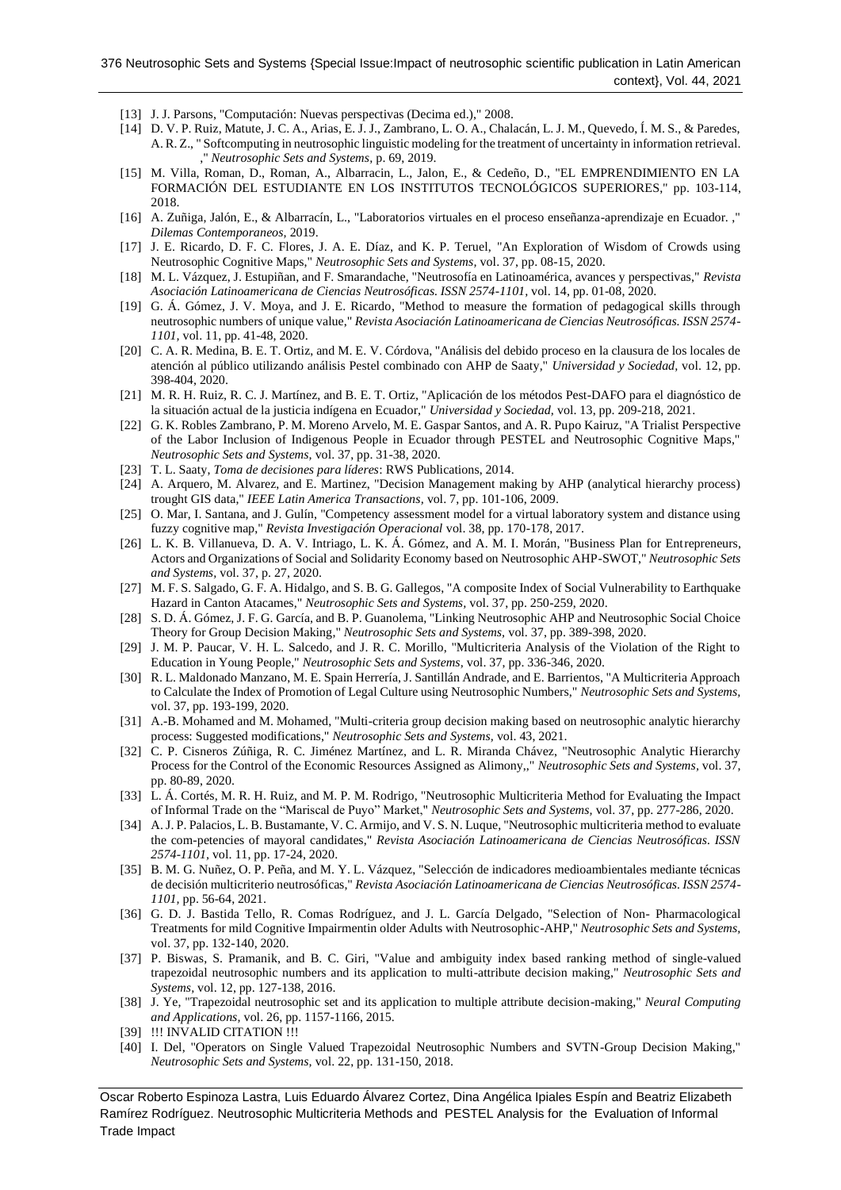- [13] J. J. Parsons, "Computación: Nuevas perspectivas (Decima ed.)," 2008.
- [14] D. V. P. Ruiz, Matute, J. C. A., Arias, E. J. J., Zambrano, L. O. A., Chalacán, L. J. M., Quevedo, Í. M. S., & Paredes, A. R. Z., " Softcomputing in neutrosophic linguistic modeling for the treatment of uncertainty in information retrieval. ," *Neutrosophic Sets and Systems,* p. 69, 2019.
- [15] M. Villa, Roman, D., Roman, A., Albarracin, L., Jalon, E., & Cedeño, D., "EL EMPRENDIMIENTO EN LA FORMACIÓN DEL ESTUDIANTE EN LOS INSTITUTOS TECNOLÓGICOS SUPERIORES," pp. 103-114, 2018.
- [16] A. Zuñiga, Jalón, E., & Albarracín, L., "Laboratorios virtuales en el proceso enseñanza-aprendizaje en Ecuador. ," *Dilemas Contemporaneos,* 2019.
- [17] J. E. Ricardo, D. F. C. Flores, J. A. E. Díaz, and K. P. Teruel, "An Exploration of Wisdom of Crowds using Neutrosophic Cognitive Maps," *Neutrosophic Sets and Systems,* vol. 37, pp. 08-15, 2020.
- [18] M. L. Vázquez, J. Estupiñan, and F. Smarandache, "Neutrosofía en Latinoamérica, avances y perspectivas," *Revista Asociación Latinoamericana de Ciencias Neutrosóficas. ISSN 2574-1101,* vol. 14, pp. 01-08, 2020.
- [19] G. Á. Gómez, J. V. Moya, and J. E. Ricardo, "Method to measure the formation of pedagogical skills through neutrosophic numbers of unique value," *Revista Asociación Latinoamericana de Ciencias Neutrosóficas. ISSN 2574- 1101,* vol. 11, pp. 41-48, 2020.
- <span id="page-9-0"></span>[20] C. A. R. Medina, B. E. T. Ortiz, and M. E. V. Córdova, "Análisis del debido proceso en la clausura de los locales de atención al público utilizando análisis Pestel combinado con AHP de Saaty," *Universidad y Sociedad,* vol. 12, pp. 398-404, 2020.
- [21] M. R. H. Ruiz, R. C. J. Martínez, and B. E. T. Ortiz, "Aplicación de los métodos Pest-DAFO para el diagnóstico de la situación actual de la justicia indígena en Ecuador," *Universidad y Sociedad,* vol. 13, pp. 209-218, 2021.
- [22] G. K. Robles Zambrano, P. M. Moreno Arvelo, M. E. Gaspar Santos, and A. R. Pupo Kairuz, "A Trialist Perspective of the Labor Inclusion of Indigenous People in Ecuador through PESTEL and Neutrosophic Cognitive Maps," *Neutrosophic Sets and Systems,* vol. 37, pp. 31-38, 2020.
- <span id="page-9-1"></span>[23] T. L. Saaty, *Toma de decisiones para líderes*: RWS Publications, 2014.
- <span id="page-9-2"></span>[24] A. Arquero, M. Alvarez, and E. Martinez, "Decision Management making by AHP (analytical hierarchy process) trought GIS data," *IEEE Latin America Transactions,* vol. 7, pp. 101-106, 2009.
- <span id="page-9-7"></span>[25] O. Mar, I. Santana, and J. Gulín, "Competency assessment model for a virtual laboratory system and distance using fuzzy cognitive map," *Revista Investigación Operacional* vol. 38, pp. 170-178, 2017.
- [26] L. K. B. Villanueva, D. A. V. Intriago, L. K. Á. Gómez, and A. M. I. Morán, "Business Plan for Entrepreneurs, Actors and Organizations of Social and Solidarity Economy based on Neutrosophic AHP-SWOT," *Neutrosophic Sets and Systems,* vol. 37, p. 27, 2020.
- [27] M. F. S. Salgado, G. F. A. Hidalgo, and S. B. G. Gallegos, "A composite Index of Social Vulnerability to Earthquake Hazard in Canton Atacames," *Neutrosophic Sets and Systems,* vol. 37, pp. 250-259, 2020.
- [28] S. D. Á. Gómez, J. F. G. García, and B. P. Guanolema, "Linking Neutrosophic AHP and Neutrosophic Social Choice Theory for Group Decision Making," *Neutrosophic Sets and Systems,* vol. 37, pp. 389-398, 2020.
- [29] J. M. P. Paucar, V. H. L. Salcedo, and J. R. C. Morillo, "Multicriteria Analysis of the Violation of the Right to Education in Young People," *Neutrosophic Sets and Systems,* vol. 37, pp. 336-346, 2020.
- [30] R. L. Maldonado Manzano, M. E. Spain Herrería, J. Santillán Andrade, and E. Barrientos, "A Multicriteria Approach to Calculate the Index of Promotion of Legal Culture using Neutrosophic Numbers," *Neutrosophic Sets and Systems,*  vol. 37, pp. 193-199, 2020.
- [31] A.-B. Mohamed and M. Mohamed, "Multi-criteria group decision making based on neutrosophic analytic hierarchy process: Suggested modifications," *Neutrosophic Sets and Systems,* vol. 43, 2021.
- [32] C. P. Cisneros Zúñiga, R. C. Jiménez Martínez, and L. R. Miranda Chávez, "Neutrosophic Analytic Hierarchy Process for the Control of the Economic Resources Assigned as Alimony,," *Neutrosophic Sets and Systems,* vol. 37, pp. 80-89, 2020.
- [33] L. Á. Cortés, M. R. H. Ruiz, and M. P. M. Rodrigo, "Neutrosophic Multicriteria Method for Evaluating the Impact of Informal Trade on the "Mariscal de Puyo" Market," *Neutrosophic Sets and Systems,* vol. 37, pp. 277-286, 2020.
- [34] A. J. P. Palacios, L. B. Bustamante, V. C. Armijo, and V. S. N. Luque, "Neutrosophic multicriteria method to evaluate the com-petencies of mayoral candidates," *Revista Asociación Latinoamericana de Ciencias Neutrosóficas. ISSN 2574-1101,* vol. 11, pp. 17-24, 2020.
- [35] B. M. G. Nuñez, O. P. Peña, and M. Y. L. Vázquez, "Selección de indicadores medioambientales mediante técnicas de decisión multicriterio neutrosóficas," *Revista Asociación Latinoamericana de Ciencias Neutrosóficas. ISSN 2574- 1101,* pp. 56-64, 2021.
- [36] G. D. J. Bastida Tello, R. Comas Rodríguez, and J. L. García Delgado, "Selection of Non- Pharmacological Treatments for mild Cognitive Impairmentin older Adults with Neutrosophic-AHP," *Neutrosophic Sets and Systems,*  vol. 37, pp. 132-140, 2020.
- <span id="page-9-3"></span>[37] P. Biswas, S. Pramanik, and B. C. Giri, "Value and ambiguity index based ranking method of single-valued trapezoidal neutrosophic numbers and its application to multi-attribute decision making," *Neutrosophic Sets and Systems,* vol. 12, pp. 127-138, 2016.
- <span id="page-9-4"></span>[38] J. Ye, "Trapezoidal neutrosophic set and its application to multiple attribute decision-making," *Neural Computing and Applications,* vol. 26, pp. 1157-1166, 2015.
- <span id="page-9-5"></span>[39] !!! INVALID CITATION !!!
- <span id="page-9-6"></span>[40] I. Del, "Operators on Single Valued Trapezoidal Neutrosophic Numbers and SVTN-Group Decision Making," *Neutrosophic Sets and Systems,* vol. 22, pp. 131-150, 2018.